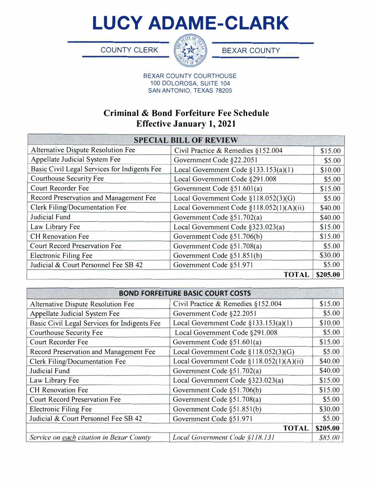**LUCY ADAME-CLARK** 

COUNTY CLERK **BEXAR COUNTY** 



BEXAR COUNTY COURTHOUSE 100 DOLOROSA, SUITE 104 SAN ANTONIO, TEXAS 78205

## **Criminal & Bond Forfeiture Fee Schedule Effective January 1, 2021**

| <b>SPECIAL BILL OF REVIEW</b>                |                                          |          |  |
|----------------------------------------------|------------------------------------------|----------|--|
| Alternative Dispute Resolution Fee           | Civil Practice & Remedies §152.004       | \$15.00  |  |
| Appellate Judicial System Fee                | Government Code §22.2051                 | \$5.00   |  |
| Basic Civil Legal Services for Indigents Fee | Local Government Code §133.153(a)(1)     | \$10.00  |  |
| <b>Courthouse Security Fee</b>               | Local Government Code §291.008           | \$5.00   |  |
| Court Recorder Fee                           | Government Code §51.601(a)               | \$15.00  |  |
| Record Preservation and Management Fee       | Local Government Code §118.052(3)(G)     | \$5.00   |  |
| Clerk Filing/Documentation Fee               | Local Government Code §118.052(1)(A)(ii) | \$40.00  |  |
| Judicial Fund                                | Government Code §51.702(a)               | \$40.00  |  |
| Law Library Fee                              | Local Government Code §323.023(a)        | \$15.00  |  |
| <b>CH</b> Renovation Fee                     | Government Code §51.706(b)               | \$15.00  |  |
| <b>Court Record Preservation Fee</b>         | Government Code §51.708(a)               | \$5.00   |  |
| <b>Electronic Filing Fee</b>                 | Government Code §51.851(b)               | \$30.00  |  |
| Judicial & Court Personnel Fee SB 42         | Government Code §51.971                  | \$5.00   |  |
|                                              | <b>TOTAL</b>                             | \$205.00 |  |

| <b>BOND FORFEITURE BASIC COURT COSTS</b>     |                                          |          |  |
|----------------------------------------------|------------------------------------------|----------|--|
| Alternative Dispute Resolution Fee           | Civil Practice & Remedies §152.004       | \$15.00  |  |
| Appellate Judicial System Fee                | Government Code §22.2051                 | \$5.00   |  |
| Basic Civil Legal Services for Indigents Fee | Local Government Code §133.153(a)(1)     | \$10.00  |  |
| <b>Courthouse Security Fee</b>               | Local Government Code §291.008           | \$5.00   |  |
| <b>Court Recorder Fee</b>                    | Government Code §51.601(a)               | \$15.00  |  |
| Record Preservation and Management Fee       | Local Government Code §118.052(3)(G)     | \$5.00   |  |
| Clerk Filing/Documentation Fee               | Local Government Code §118.052(1)(A)(ii) | \$40.00  |  |
| Judicial Fund                                | Government Code §51.702(a)               | \$40.00  |  |
| Law Library Fee                              | Local Government Code §323.023(a)        | \$15.00  |  |
| <b>CH</b> Renovation Fee                     | Government Code §51.706(b)               | \$15.00  |  |
| <b>Court Record Preservation Fee</b>         | Government Code §51.708(a)               | \$5.00   |  |
| <b>Electronic Filing Fee</b>                 | Government Code §51.851(b)               | \$30.00  |  |
| Judicial & Court Personnel Fee SB 42         | Government Code §51.971                  | \$5.00   |  |
| <b>TOTAL</b>                                 |                                          | \$205.00 |  |
| Service on each citation in Bexar County     | Local Government Code §118.131           | \$85.00  |  |